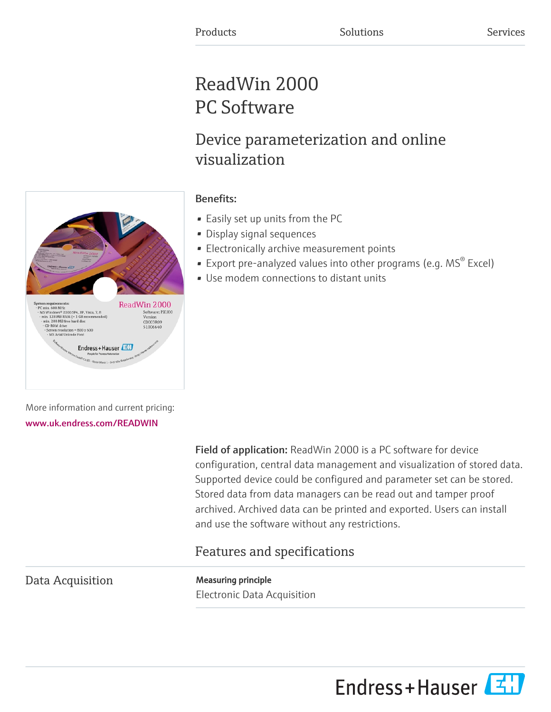# ReadWin 2000 PC Software

## Device parameterization and online visualization

#### Benefits:

- Easily set up units from the PC
- Display signal sequences
- Electronically archive measurement points
- **•** Export pre-analyzed values into other programs (e.g.  $MS^{\circ}$  Excel)
- Use modem connections to distant units

More information and current pricing: [www.uk.endress.com/READWIN](https://www.uk.endress.com/READWIN)

> Field of application: ReadWin 2000 is a PC software for device configuration, central data management and visualization of stored data. Supported device could be configured and parameter set can be stored. Stored data from data managers can be read out and tamper proof archived. Archived data can be printed and exported. Users can install and use the software without any restrictions.

### Features and specifications

Data Acquisition Measuring principle

Electronic Data Acquisition